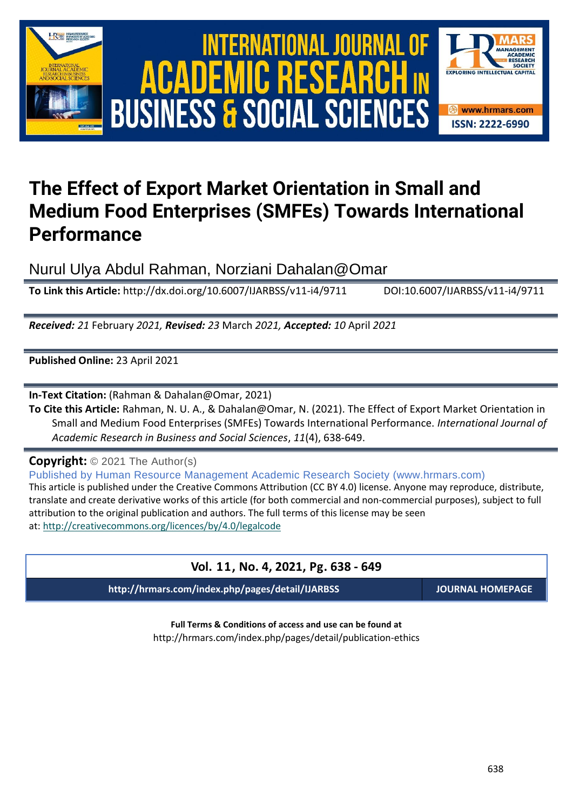





# **The Effect of Export Market Orientation in Small and Medium Food Enterprises (SMFEs) Towards International Performance**

Nurul Ulya Abdul Rahman, Norziani Dahalan@Omar

**To Link this Article:** http://dx.doi.org/10.6007/IJARBSS/v11-i4/9711 DOI:10.6007/IJARBSS/v11-i4/9711

*Received: 21* February *2021, Revised: 23* March *2021, Accepted: 10* April *2021*

**Published Online:** 23 April 2021

**In-Text Citation:** (Rahman & Dahalan@Omar, 2021)

**To Cite this Article:** Rahman, N. U. A., & Dahalan@Omar, N. (2021). The Effect of Export Market Orientation in Small and Medium Food Enterprises (SMFEs) Towards International Performance. *International Journal of Academic Research in Business and Social Sciences*, *11*(4), 638-649.

**Copyright:** © 2021 The Author(s)

Published by Human Resource Management Academic Research Society (www.hrmars.com)

This article is published under the Creative Commons Attribution (CC BY 4.0) license. Anyone may reproduce, distribute, translate and create derivative works of this article (for both commercial and non-commercial purposes), subject to full attribution to the original publication and authors. The full terms of this license may be seen at: <http://creativecommons.org/licences/by/4.0/legalcode>

## **Vol. 11, No. 4, 2021, Pg. 638 - 649**

**http://hrmars.com/index.php/pages/detail/IJARBSS JOURNAL HOMEPAGE**

**Full Terms & Conditions of access and use can be found at** http://hrmars.com/index.php/pages/detail/publication-ethics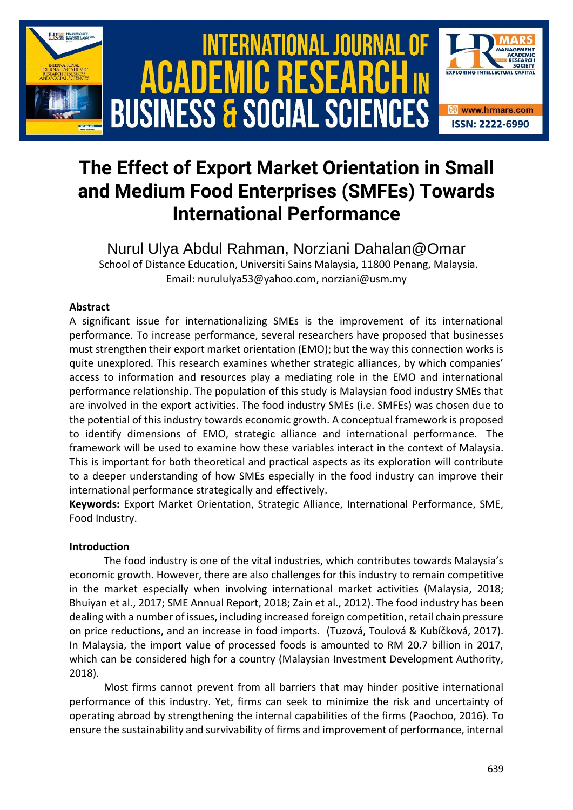

# **The Effect of Export Market Orientation in Small and Medium Food Enterprises (SMFEs) Towards International Performance**

Nurul Ulya Abdul Rahman, Norziani Dahalan@Omar School of Distance Education, Universiti Sains Malaysia, 11800 Penang, Malaysia.

Email: nurululya53@yahoo.com, norziani@usm.my

## **Abstract**

A significant issue for internationalizing SMEs is the improvement of its international performance. To increase performance, several researchers have proposed that businesses must strengthen their export market orientation (EMO); but the way this connection works is quite unexplored. This research examines whether strategic alliances, by which companies' access to information and resources play a mediating role in the EMO and international performance relationship. The population of this study is Malaysian food industry SMEs that are involved in the export activities. The food industry SMEs (i.e. SMFEs) was chosen due to the potential of this industry towards economic growth. A conceptual framework is proposed to identify dimensions of EMO, strategic alliance and international performance. The framework will be used to examine how these variables interact in the context of Malaysia. This is important for both theoretical and practical aspects as its exploration will contribute to a deeper understanding of how SMEs especially in the food industry can improve their international performance strategically and effectively.

**Keywords:** Export Market Orientation, Strategic Alliance, International Performance, SME, Food Industry.

## **Introduction**

The food industry is one of the vital industries, which contributes towards Malaysia's economic growth. However, there are also challenges for this industry to remain competitive in the market especially when involving international market activities (Malaysia, 2018; Bhuiyan et al., 2017; SME Annual Report, 2018; Zain et al., 2012). The food industry has been dealing with a number of issues, including increased foreign competition, retail chain pressure on price reductions, and an increase in food imports. (Tuzová, Toulová & Kubíčková, 2017). In Malaysia, the import value of processed foods is amounted to RM 20.7 billion in 2017, which can be considered high for a country (Malaysian Investment Development Authority, 2018).

Most firms cannot prevent from all barriers that may hinder positive international performance of this industry. Yet, firms can seek to minimize the risk and uncertainty of operating abroad by strengthening the internal capabilities of the firms (Paochoo, 2016). To ensure the sustainability and survivability of firms and improvement of performance, internal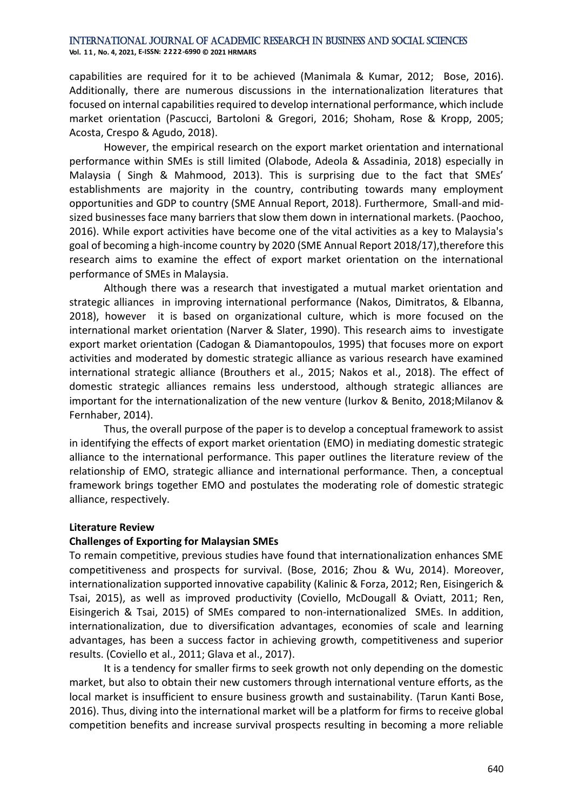#### International Journal of Academic Research in Business and Social Sciences **Vol. 1 1 , No. 4, 2021, E-ISSN: 2222-6990 © 2021 HRMARS**

capabilities are required for it to be achieved (Manimala & Kumar, 2012; Bose, 2016). Additionally, there are numerous discussions in the internationalization literatures that focused on internal capabilities required to develop international performance, which include market orientation (Pascucci, Bartoloni & Gregori, 2016; Shoham, Rose & Kropp, 2005; Acosta, Crespo & Agudo, 2018).

However, the empirical research on the export market orientation and international performance within SMEs is still limited (Olabode, Adeola & Assadinia, 2018) especially in Malaysia ( Singh & Mahmood, 2013). This is surprising due to the fact that SMEs' establishments are majority in the country, contributing towards many employment opportunities and GDP to country (SME Annual Report, 2018). Furthermore, Small-and midsized businesses face many barriers that slow them down in international markets. (Paochoo, 2016). While export activities have become one of the vital activities as a key to Malaysia's goal of becoming a high-income country by 2020 (SME Annual Report 2018/17),therefore this research aims to examine the effect of export market orientation on the international performance of SMEs in Malaysia.

Although there was a research that investigated a mutual market orientation and strategic alliances in improving international performance (Nakos, Dimitratos, & Elbanna, 2018), however it is based on organizational culture, which is more focused on the international market orientation (Narver & Slater, 1990). This research aims to investigate export market orientation (Cadogan & Diamantopoulos, 1995) that focuses more on export activities and moderated by domestic strategic alliance as various research have examined international strategic alliance (Brouthers et al., 2015; Nakos et al., 2018). The effect of domestic strategic alliances remains less understood, although strategic alliances are important for the internationalization of the new venture (Iurkov & Benito, 2018;Milanov & Fernhaber, 2014).

Thus, the overall purpose of the paper is to develop a conceptual framework to assist in identifying the effects of export market orientation (EMO) in mediating domestic strategic alliance to the international performance. This paper outlines the literature review of the relationship of EMO, strategic alliance and international performance. Then, a conceptual framework brings together EMO and postulates the moderating role of domestic strategic alliance, respectively.

#### **Literature Review**

## **Challenges of Exporting for Malaysian SMEs**

To remain competitive, previous studies have found that internationalization enhances SME competitiveness and prospects for survival. (Bose, 2016; Zhou & Wu, 2014). Moreover, internationalization supported innovative capability (Kalinic & Forza, 2012; Ren, Eisingerich & Tsai, 2015), as well as improved productivity (Coviello, McDougall & Oviatt, 2011; Ren, Eisingerich & Tsai, 2015) of SMEs compared to non-internationalized SMEs. In addition, internationalization, due to diversification advantages, economies of scale and learning advantages, has been a success factor in achieving growth, competitiveness and superior results. (Coviello et al., 2011; Glava et al., 2017).

It is a tendency for smaller firms to seek growth not only depending on the domestic market, but also to obtain their new customers through international venture efforts, as the local market is insufficient to ensure business growth and sustainability. (Tarun Kanti Bose, 2016). Thus, diving into the international market will be a platform for firms to receive global competition benefits and increase survival prospects resulting in becoming a more reliable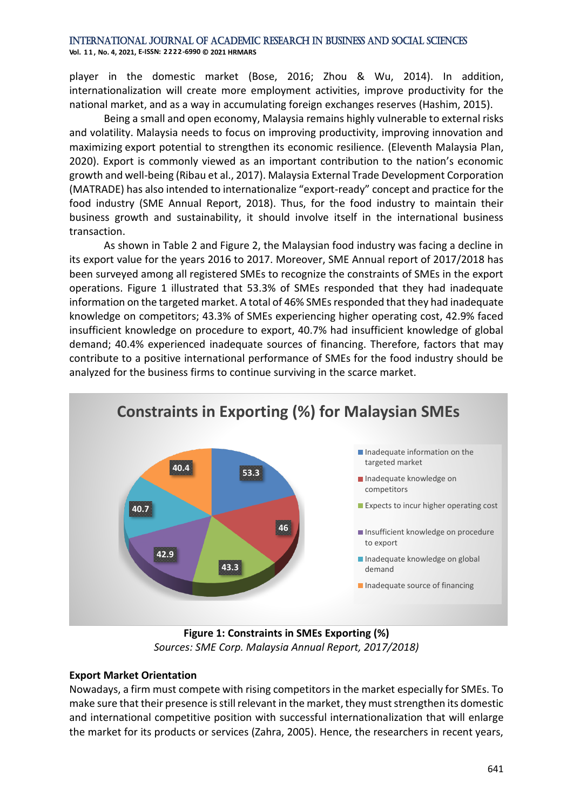#### International Journal of Academic Research in Business and Social Sciences **Vol. 1 1 , No. 4, 2021, E-ISSN: 2222-6990 © 2021 HRMARS**

player in the domestic market (Bose, 2016; Zhou & Wu, 2014). In addition, internationalization will create more employment activities, improve productivity for the national market, and as a way in accumulating foreign exchanges reserves (Hashim, 2015).

Being a small and open economy, Malaysia remains highly vulnerable to external risks and volatility. Malaysia needs to focus on improving productivity, improving innovation and maximizing export potential to strengthen its economic resilience. (Eleventh Malaysia Plan, 2020). Export is commonly viewed as an important contribution to the nation's economic growth and well-being (Ribau et al., 2017). Malaysia External Trade Development Corporation (MATRADE) has also intended to internationalize "export-ready" concept and practice for the food industry (SME Annual Report, 2018). Thus, for the food industry to maintain their business growth and sustainability, it should involve itself in the international business transaction.

As shown in Table 2 and Figure 2, the Malaysian food industry was facing a decline in its export value for the years 2016 to 2017. Moreover, SME Annual report of 2017/2018 has been surveyed among all registered SMEs to recognize the constraints of SMEs in the export operations. Figure 1 illustrated that 53.3% of SMEs responded that they had inadequate information on the targeted market. A total of 46% SMEs responded that they had inadequate knowledge on competitors; 43.3% of SMEs experiencing higher operating cost, 42.9% faced insufficient knowledge on procedure to export, 40.7% had insufficient knowledge of global demand; 40.4% experienced inadequate sources of financing. Therefore, factors that may contribute to a positive international performance of SMEs for the food industry should be analyzed for the business firms to continue surviving in the scarce market.



**Figure 1: Constraints in SMEs Exporting (%)** *Sources: SME Corp. Malaysia Annual Report, 2017/2018)*

## **Export Market Orientation**

Nowadays, a firm must compete with rising competitors in the market especially for SMEs. To make sure that their presence is still relevant in the market, they must strengthen its domestic and international competitive position with successful internationalization that will enlarge the market for its products or services (Zahra, 2005). Hence, the researchers in recent years,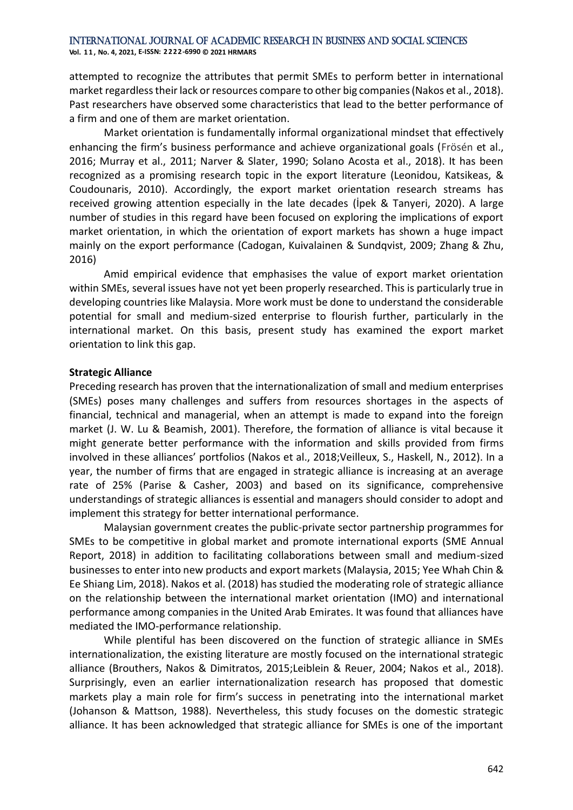**Vol. 1 1 , No. 4, 2021, E-ISSN: 2222-6990 © 2021 HRMARS**

attempted to recognize the attributes that permit SMEs to perform better in international market regardless their lack or resources compare to other big companies (Nakos et al., 2018). Past researchers have observed some characteristics that lead to the better performance of a firm and one of them are market orientation.

Market orientation is fundamentally informal organizational mindset that effectively enhancing the firm's business performance and achieve organizational goals (Frösén et al., 2016; Murray et al., 2011; Narver & Slater, 1990; Solano Acosta et al., 2018). It has been recognized as a promising research topic in the export literature (Leonidou, Katsikeas, & Coudounaris, 2010). Accordingly, the export market orientation research streams has received growing attention especially in the late decades (İpek & Tanyeri, 2020). A large number of studies in this regard have been focused on exploring the implications of export market orientation, in which the orientation of export markets has shown a huge impact mainly on the export performance (Cadogan, Kuivalainen & Sundqvist, 2009; Zhang & Zhu, 2016)

Amid empirical evidence that emphasises the value of export market orientation within SMEs, several issues have not yet been properly researched. This is particularly true in developing countries like Malaysia. More work must be done to understand the considerable potential for small and medium-sized enterprise to flourish further, particularly in the international market. On this basis, present study has examined the export market orientation to link this gap.

## **Strategic Alliance**

Preceding research has proven that the internationalization of small and medium enterprises (SMEs) poses many challenges and suffers from resources shortages in the aspects of financial, technical and managerial, when an attempt is made to expand into the foreign market (J. W. Lu & Beamish, 2001). Therefore, the formation of alliance is vital because it might generate better performance with the information and skills provided from firms involved in these alliances' portfolios (Nakos et al., 2018;Veilleux, S., Haskell, N., 2012). In a year, the number of firms that are engaged in strategic alliance is increasing at an average rate of 25% (Parise & Casher, 2003) and based on its significance, comprehensive understandings of strategic alliances is essential and managers should consider to adopt and implement this strategy for better international performance.

Malaysian government creates the public-private sector partnership programmes for SMEs to be competitive in global market and promote international exports (SME Annual Report, 2018) in addition to facilitating collaborations between small and medium-sized businesses to enter into new products and export markets (Malaysia, 2015; Yee Whah Chin & Ee Shiang Lim, 2018). Nakos et al. (2018) has studied the moderating role of strategic alliance on the relationship between the international market orientation (IMO) and international performance among companies in the United Arab Emirates. It was found that alliances have mediated the IMO-performance relationship.

While plentiful has been discovered on the function of strategic alliance in SMEs internationalization, the existing literature are mostly focused on the international strategic alliance (Brouthers, Nakos & Dimitratos, 2015;Leiblein & Reuer, 2004; Nakos et al., 2018). Surprisingly, even an earlier internationalization research has proposed that domestic markets play a main role for firm's success in penetrating into the international market (Johanson & Mattson, 1988). Nevertheless, this study focuses on the domestic strategic alliance. It has been acknowledged that strategic alliance for SMEs is one of the important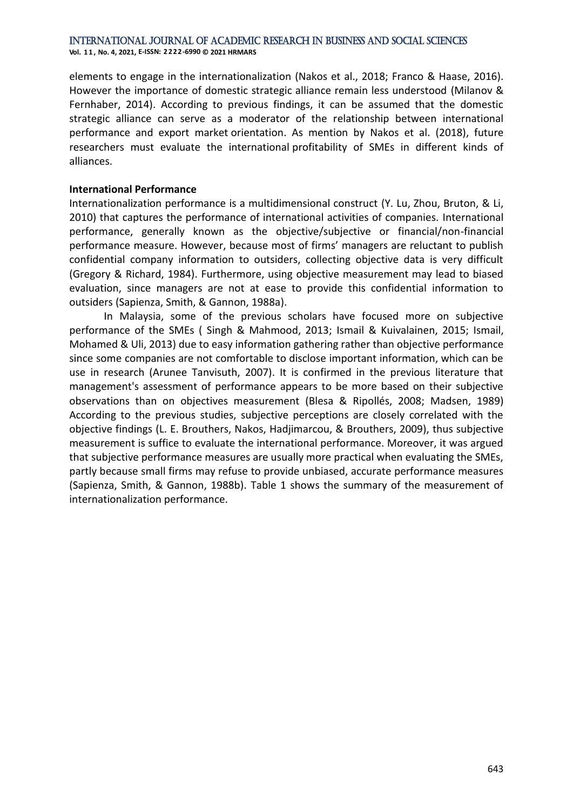**Vol. 1 1 , No. 4, 2021, E-ISSN: 2222-6990 © 2021 HRMARS**

elements to engage in the internationalization (Nakos et al., 2018; Franco & Haase, 2016). However the importance of domestic strategic alliance remain less understood (Milanov & Fernhaber, 2014). According to previous findings, it can be assumed that the domestic strategic alliance can serve as a moderator of the relationship between international performance and export market orientation. As mention by Nakos et al. (2018), future researchers must evaluate the international profitability of SMEs in different kinds of alliances.

#### **International Performance**

Internationalization performance is a multidimensional construct (Y. Lu, Zhou, Bruton, & Li, 2010) that captures the performance of international activities of companies. International performance, generally known as the objective/subjective or financial/non-financial performance measure. However, because most of firms' managers are reluctant to publish confidential company information to outsiders, collecting objective data is very difficult (Gregory & Richard, 1984). Furthermore, using objective measurement may lead to biased evaluation, since managers are not at ease to provide this confidential information to outsiders (Sapienza, Smith, & Gannon, 1988a).

In Malaysia, some of the previous scholars have focused more on subjective performance of the SMEs ( Singh & Mahmood, 2013; Ismail & Kuivalainen, 2015; Ismail, Mohamed & Uli, 2013) due to easy information gathering rather than objective performance since some companies are not comfortable to disclose important information, which can be use in research (Arunee Tanvisuth, 2007). It is confirmed in the previous literature that management's assessment of performance appears to be more based on their subjective observations than on objectives measurement (Blesa & Ripollés, 2008; Madsen, 1989) According to the previous studies, subjective perceptions are closely correlated with the objective findings (L. E. Brouthers, Nakos, Hadjimarcou, & Brouthers, 2009), thus subjective measurement is suffice to evaluate the international performance. Moreover, it was argued that subjective performance measures are usually more practical when evaluating the SMEs, partly because small firms may refuse to provide unbiased, accurate performance measures (Sapienza, Smith, & Gannon, 1988b). Table 1 shows the summary of the measurement of internationalization performance.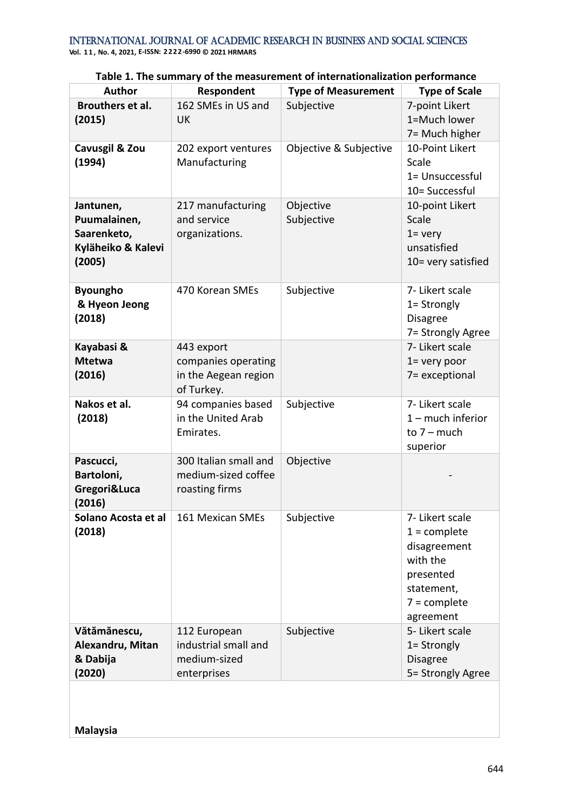| <b>Author</b>                                                            | Respondent                                                              | <b>Type of Measurement</b> | <b>Type of Scale</b>                                                                                                    |
|--------------------------------------------------------------------------|-------------------------------------------------------------------------|----------------------------|-------------------------------------------------------------------------------------------------------------------------|
| Brouthers et al.<br>(2015)                                               | 162 SMEs in US and<br><b>UK</b>                                         | Subjective                 | 7-point Likert<br>1=Much lower<br>7= Much higher                                                                        |
| Cavusgil & Zou<br>(1994)                                                 | 202 export ventures<br>Manufacturing                                    | Objective & Subjective     | 10-Point Likert<br>Scale<br>1= Unsuccessful<br>10= Successful                                                           |
| Jantunen,<br>Puumalainen,<br>Saarenketo,<br>Kyläheiko & Kalevi<br>(2005) | 217 manufacturing<br>and service<br>organizations.                      | Objective<br>Subjective    | 10-point Likert<br>Scale<br>$1 = \text{very}$<br>unsatisfied<br>10= very satisfied                                      |
| <b>Byoungho</b><br>& Hyeon Jeong<br>(2018)                               | 470 Korean SMEs                                                         | Subjective                 | 7- Likert scale<br>1= Strongly<br><b>Disagree</b><br>7= Strongly Agree                                                  |
| Kayabasi &<br><b>Mtetwa</b><br>(2016)                                    | 443 export<br>companies operating<br>in the Aegean region<br>of Turkey. |                            | 7- Likert scale<br>$1 =$ very poor<br>7= exceptional                                                                    |
| Nakos et al.<br>(2018)                                                   | 94 companies based<br>in the United Arab<br>Emirates.                   | Subjective                 | 7- Likert scale<br>$1 -$ much inferior<br>to $7 - \text{much}$<br>superior                                              |
| Pascucci,<br>Bartoloni,<br>Gregori&Luca<br>(2016)                        | 300 Italian small and<br>medium-sized coffee<br>roasting firms          | Objective                  |                                                                                                                         |
| Solano Acosta et al<br>(2018)                                            | 161 Mexican SMEs                                                        | Subjective                 | 7- Likert scale<br>$1 =$ complete<br>disagreement<br>with the<br>presented<br>statement,<br>$7 =$ complete<br>agreement |
| Vătămănescu,<br>Alexandru, Mitan<br>& Dabija<br>(2020)                   | 112 European<br>industrial small and<br>medium-sized<br>enterprises     | Subjective                 | 5- Likert scale<br>1= Strongly<br><b>Disagree</b><br>5= Strongly Agree                                                  |

**Table 1. The summary of the measurement of internationalization performance**

**Malaysia**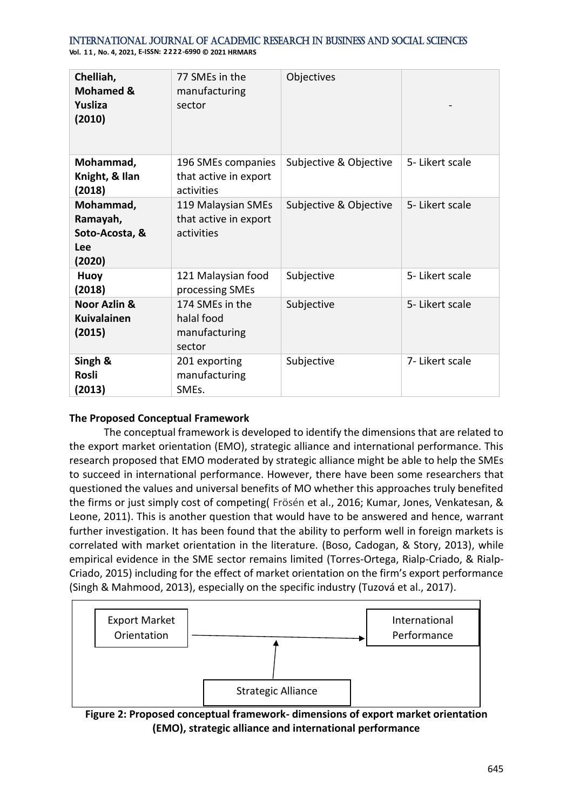**Vol. 1 1 , No. 4, 2021, E-ISSN: 2222-6990 © 2021 HRMARS**

| Chelliah,<br><b>Mohamed &amp;</b><br>Yusliza<br>(2010)   | 77 SMEs in the<br>manufacturing<br>sector                 | Objectives             |                 |
|----------------------------------------------------------|-----------------------------------------------------------|------------------------|-----------------|
| Mohammad,<br>Knight, & Ilan<br>(2018)                    | 196 SMEs companies<br>that active in export<br>activities | Subjective & Objective | 5- Likert scale |
| Mohammad,<br>Ramayah,<br>Soto-Acosta, &<br>Lee<br>(2020) | 119 Malaysian SMEs<br>that active in export<br>activities | Subjective & Objective | 5- Likert scale |
| Huoy<br>(2018)                                           | 121 Malaysian food<br>processing SMEs                     | Subjective             | 5- Likert scale |
| Noor Azlin &<br><b>Kuivalainen</b><br>(2015)             | 174 SMEs in the<br>halal food<br>manufacturing<br>sector  | Subjective             | 5- Likert scale |
| Singh &<br><b>Rosli</b><br>(2013)                        | 201 exporting<br>manufacturing<br>SMEs.                   | Subjective             | 7- Likert scale |

## **The Proposed Conceptual Framework**

The conceptual framework is developed to identify the dimensions that are related to the export market orientation (EMO), strategic alliance and international performance. This research proposed that EMO moderated by strategic alliance might be able to help the SMEs to succeed in international performance. However, there have been some researchers that questioned the values and universal benefits of MO whether this approaches truly benefited the firms or just simply cost of competing( Frösén et al., 2016; Kumar, Jones, Venkatesan, & Leone, 2011). This is another question that would have to be answered and hence, warrant further investigation. It has been found that the ability to perform well in foreign markets is correlated with market orientation in the literature. (Boso, Cadogan, & Story, 2013), while empirical evidence in the SME sector remains limited (Torres-Ortega, Rialp-Criado, & Rialp-Criado, 2015) including for the effect of market orientation on the firm's export performance (Singh & Mahmood, 2013), especially on the specific industry (Tuzová et al., 2017).



**Figure 2: Proposed conceptual framework- dimensions of export market orientation (EMO), strategic alliance and international performance**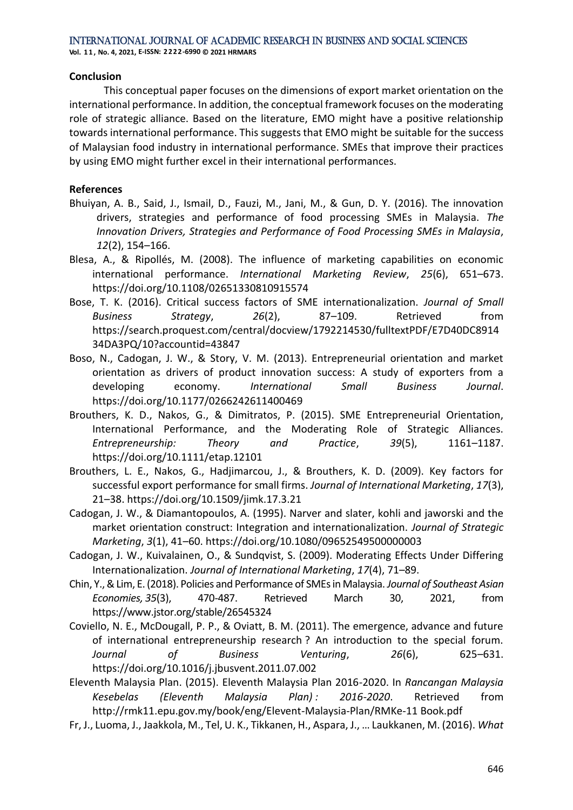**Vol. 1 1 , No. 4, 2021, E-ISSN: 2222-6990 © 2021 HRMARS**

#### **Conclusion**

This conceptual paper focuses on the dimensions of export market orientation on the international performance. In addition, the conceptual framework focuses on the moderating role of strategic alliance. Based on the literature, EMO might have a positive relationship towards international performance. This suggests that EMO might be suitable for the success of Malaysian food industry in international performance. SMEs that improve their practices by using EMO might further excel in their international performances.

## **References**

- Bhuiyan, A. B., Said, J., Ismail, D., Fauzi, M., Jani, M., & Gun, D. Y. (2016). The innovation drivers, strategies and performance of food processing SMEs in Malaysia. *The Innovation Drivers, Strategies and Performance of Food Processing SMEs in Malaysia*, *12*(2), 154–166.
- Blesa, A., & Ripollés, M. (2008). The influence of marketing capabilities on economic international performance. *International Marketing Review*, *25*(6), 651–673. https://doi.org/10.1108/02651330810915574
- Bose, T. K. (2016). Critical success factors of SME internationalization. *Journal of Small Business Strategy*, *26*(2), 87–109. Retrieved from https://search.proquest.com/central/docview/1792214530/fulltextPDF/E7D40DC8914 34DA3PQ/10?accountid=43847
- Boso, N., Cadogan, J. W., & Story, V. M. (2013). Entrepreneurial orientation and market orientation as drivers of product innovation success: A study of exporters from a developing economy. *International Small Business Journal*. https://doi.org/10.1177/0266242611400469
- Brouthers, K. D., Nakos, G., & Dimitratos, P. (2015). SME Entrepreneurial Orientation, International Performance, and the Moderating Role of Strategic Alliances. *Entrepreneurship: Theory and Practice*, *39*(5), 1161–1187. https://doi.org/10.1111/etap.12101
- Brouthers, L. E., Nakos, G., Hadjimarcou, J., & Brouthers, K. D. (2009). Key factors for successful export performance for small firms. *Journal of International Marketing*, *17*(3), 21–38. https://doi.org/10.1509/jimk.17.3.21
- Cadogan, J. W., & Diamantopoulos, A. (1995). Narver and slater, kohli and jaworski and the market orientation construct: Integration and internationalization. *Journal of Strategic Marketing*, *3*(1), 41–60. https://doi.org/10.1080/09652549500000003
- Cadogan, J. W., Kuivalainen, O., & Sundqvist, S. (2009). Moderating Effects Under Differing Internationalization. *Journal of International Marketing*, *17*(4), 71–89.
- Chin, Y., & Lim, E. (2018). Policies and Performance of SMEs in Malaysia. *Journal of Southeast Asian Economies, 35*(3), 470-487. Retrieved March 30, 2021, from https://www.jstor.org/stable/26545324
- Coviello, N. E., McDougall, P. P., & Oviatt, B. M. (2011). The emergence, advance and future of international entrepreneurship research ? An introduction to the special forum. *Journal of Business Venturing*, *26*(6), 625–631. https://doi.org/10.1016/j.jbusvent.2011.07.002
- Eleventh Malaysia Plan. (2015). Eleventh Malaysia Plan 2016-2020. In *Rancangan Malaysia Kesebelas (Eleventh Malaysia Plan) : 2016-2020*. Retrieved from http://rmk11.epu.gov.my/book/eng/Elevent-Malaysia-Plan/RMKe-11 Book.pdf
- Fr, J., Luoma, J., Jaakkola, M., Tel, U. K., Tikkanen, H., Aspara, J., … Laukkanen, M. (2016). *What*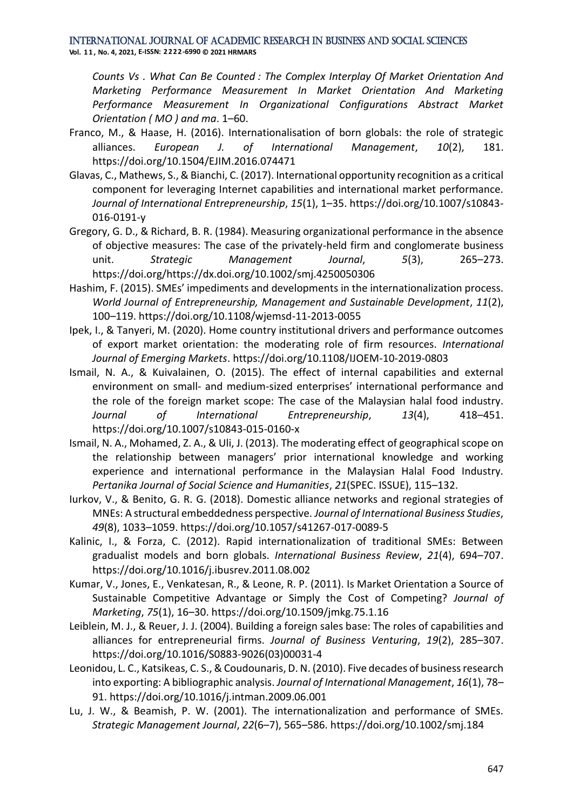**Vol. 1 1 , No. 4, 2021, E-ISSN: 2222-6990 © 2021 HRMARS**

*Counts Vs . What Can Be Counted : The Complex Interplay Of Market Orientation And Marketing Performance Measurement In Market Orientation And Marketing Performance Measurement In Organizational Configurations Abstract Market Orientation ( MO ) and ma*. 1–60.

- Franco, M., & Haase, H. (2016). Internationalisation of born globals: the role of strategic alliances. *European J. of International Management*, *10*(2), 181. https://doi.org/10.1504/EJIM.2016.074471
- Glavas, C., Mathews, S., & Bianchi, C. (2017). International opportunity recognition as a critical component for leveraging Internet capabilities and international market performance. *Journal of International Entrepreneurship*, *15*(1), 1–35. https://doi.org/10.1007/s10843- 016-0191-y
- Gregory, G. D., & Richard, B. R. (1984). Measuring organizational performance in the absence of objective measures: The case of the privately-held firm and conglomerate business unit. *Strategic Management Journal*, *5*(3), 265–273. https://doi.org/https://dx.doi.org/10.1002/smj.4250050306
- Hashim, F. (2015). SMEs' impediments and developments in the internationalization process. *World Journal of Entrepreneurship, Management and Sustainable Development*, *11*(2), 100–119. https://doi.org/10.1108/wjemsd-11-2013-0055
- Ipek, I., & Tanyeri, M. (2020). Home country institutional drivers and performance outcomes of export market orientation: the moderating role of firm resources. *International Journal of Emerging Markets*. https://doi.org/10.1108/IJOEM-10-2019-0803
- Ismail, N. A., & Kuivalainen, O. (2015). The effect of internal capabilities and external environment on small- and medium-sized enterprises' international performance and the role of the foreign market scope: The case of the Malaysian halal food industry. *Journal of International Entrepreneurship*, *13*(4), 418–451. https://doi.org/10.1007/s10843-015-0160-x
- Ismail, N. A., Mohamed, Z. A., & Uli, J. (2013). The moderating effect of geographical scope on the relationship between managers' prior international knowledge and working experience and international performance in the Malaysian Halal Food Industry. *Pertanika Journal of Social Science and Humanities*, *21*(SPEC. ISSUE), 115–132.
- Iurkov, V., & Benito, G. R. G. (2018). Domestic alliance networks and regional strategies of MNEs: A structural embeddedness perspective. *Journal of International Business Studies*, *49*(8), 1033–1059. https://doi.org/10.1057/s41267-017-0089-5
- Kalinic, I., & Forza, C. (2012). Rapid internationalization of traditional SMEs: Between gradualist models and born globals. *International Business Review*, *21*(4), 694–707. https://doi.org/10.1016/j.ibusrev.2011.08.002
- Kumar, V., Jones, E., Venkatesan, R., & Leone, R. P. (2011). Is Market Orientation a Source of Sustainable Competitive Advantage or Simply the Cost of Competing? *Journal of Marketing*, *75*(1), 16–30. https://doi.org/10.1509/jmkg.75.1.16
- Leiblein, M. J., & Reuer, J. J. (2004). Building a foreign sales base: The roles of capabilities and alliances for entrepreneurial firms. *Journal of Business Venturing*, *19*(2), 285–307. https://doi.org/10.1016/S0883-9026(03)00031-4
- Leonidou, L. C., Katsikeas, C. S., & Coudounaris, D. N. (2010). Five decades of business research into exporting: A bibliographic analysis. *Journal of International Management*, *16*(1), 78– 91. https://doi.org/10.1016/j.intman.2009.06.001
- Lu, J. W., & Beamish, P. W. (2001). The internationalization and performance of SMEs. *Strategic Management Journal*, *22*(6–7), 565–586. https://doi.org/10.1002/smj.184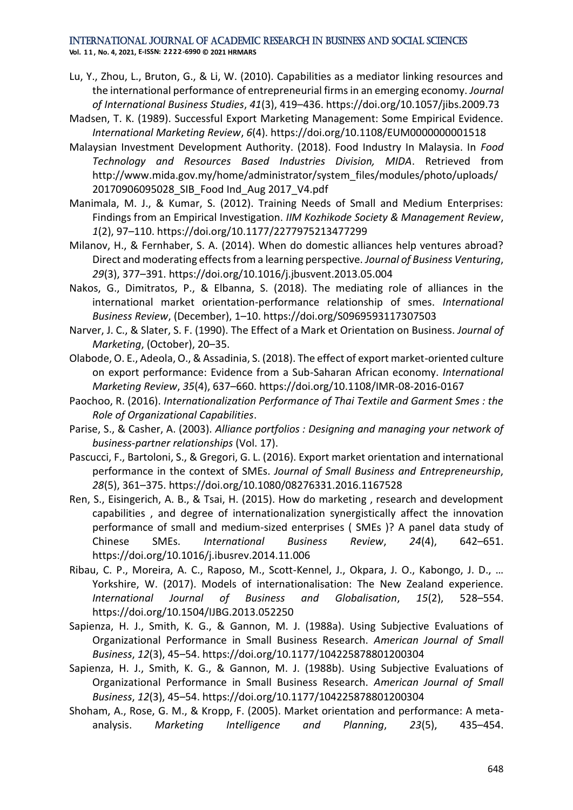#### International Journal of Academic Research in Business and Social Sciences **Vol. 1 1 , No. 4, 2021, E-ISSN: 2222-6990 © 2021 HRMARS**

- Lu, Y., Zhou, L., Bruton, G., & Li, W. (2010). Capabilities as a mediator linking resources and the international performance of entrepreneurial firms in an emerging economy. *Journal of International Business Studies*, *41*(3), 419–436. https://doi.org/10.1057/jibs.2009.73
- Madsen, T. K. (1989). Successful Export Marketing Management: Some Empirical Evidence. *International Marketing Review*, *6*(4). https://doi.org/10.1108/EUM0000000001518
- Malaysian Investment Development Authority. (2018). Food Industry In Malaysia. In *Food Technology and Resources Based Industries Division, MIDA*. Retrieved from http://www.mida.gov.my/home/administrator/system\_files/modules/photo/uploads/ 20170906095028\_SIB\_Food Ind\_Aug 2017\_V4.pdf
- Manimala, M. J., & Kumar, S. (2012). Training Needs of Small and Medium Enterprises: Findings from an Empirical Investigation. *IIM Kozhikode Society & Management Review*, *1*(2), 97–110. https://doi.org/10.1177/2277975213477299
- Milanov, H., & Fernhaber, S. A. (2014). When do domestic alliances help ventures abroad? Direct and moderating effects from a learning perspective. *Journal of Business Venturing*, *29*(3), 377–391. https://doi.org/10.1016/j.jbusvent.2013.05.004
- Nakos, G., Dimitratos, P., & Elbanna, S. (2018). The mediating role of alliances in the international market orientation-performance relationship of smes. *International Business Review*, (December), 1–10. https://doi.org/S0969593117307503
- Narver, J. C., & Slater, S. F. (1990). The Effect of a Mark et Orientation on Business. *Journal of Marketing*, (October), 20–35.
- Olabode, O. E., Adeola, O., & Assadinia, S. (2018). The effect of export market-oriented culture on export performance: Evidence from a Sub-Saharan African economy. *International Marketing Review*, *35*(4), 637–660. https://doi.org/10.1108/IMR-08-2016-0167
- Paochoo, R. (2016). *Internationalization Performance of Thai Textile and Garment Smes : the Role of Organizational Capabilities*.
- Parise, S., & Casher, A. (2003). *Alliance portfolios : Designing and managing your network of business-partner relationships* (Vol. 17).
- Pascucci, F., Bartoloni, S., & Gregori, G. L. (2016). Export market orientation and international performance in the context of SMEs. *Journal of Small Business and Entrepreneurship*, *28*(5), 361–375. https://doi.org/10.1080/08276331.2016.1167528
- Ren, S., Eisingerich, A. B., & Tsai, H. (2015). How do marketing , research and development capabilities , and degree of internationalization synergistically affect the innovation performance of small and medium-sized enterprises ( SMEs )? A panel data study of Chinese SMEs. *International Business Review*, *24*(4), 642–651. https://doi.org/10.1016/j.ibusrev.2014.11.006
- Ribau, C. P., Moreira, A. C., Raposo, M., Scott-Kennel, J., Okpara, J. O., Kabongo, J. D., … Yorkshire, W. (2017). Models of internationalisation: The New Zealand experience. *International Journal of Business and Globalisation*, *15*(2), 528–554. https://doi.org/10.1504/IJBG.2013.052250
- Sapienza, H. J., Smith, K. G., & Gannon, M. J. (1988a). Using Subjective Evaluations of Organizational Performance in Small Business Research. *American Journal of Small Business*, *12*(3), 45–54. https://doi.org/10.1177/104225878801200304
- Sapienza, H. J., Smith, K. G., & Gannon, M. J. (1988b). Using Subjective Evaluations of Organizational Performance in Small Business Research. *American Journal of Small Business*, *12*(3), 45–54. https://doi.org/10.1177/104225878801200304
- Shoham, A., Rose, G. M., & Kropp, F. (2005). Market orientation and performance: A metaanalysis. *Marketing Intelligence and Planning*, *23*(5), 435–454.